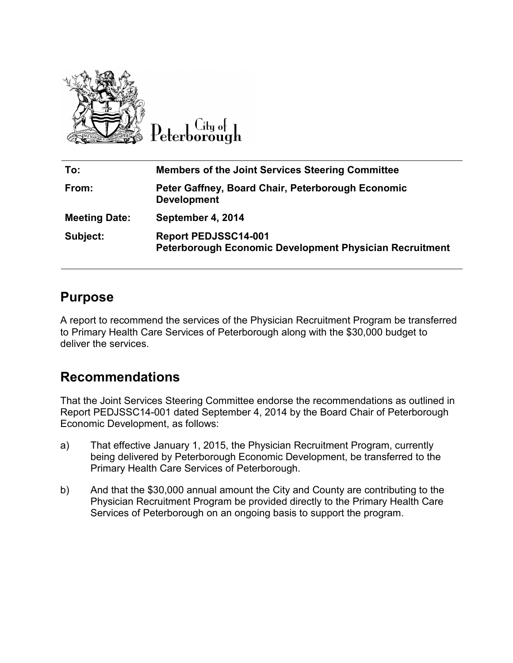

.itu ot 'eterborough

| To:                  | <b>Members of the Joint Services Steering Committee</b>                                |
|----------------------|----------------------------------------------------------------------------------------|
| From:                | Peter Gaffney, Board Chair, Peterborough Economic<br><b>Development</b>                |
| <b>Meeting Date:</b> | September 4, 2014                                                                      |
| Subject:             | <b>Report PEDJSSC14-001</b><br>Peterborough Economic Development Physician Recruitment |

#### **Purpose**

A report to recommend the services of the Physician Recruitment Program be transferred to Primary Health Care Services of Peterborough along with the \$30,000 budget to deliver the services.

## **Recommendations**

That the Joint Services Steering Committee endorse the recommendations as outlined in Report PEDJSSC14-001 dated September 4, 2014 by the Board Chair of Peterborough Economic Development, as follows:

- a) That effective January 1, 2015, the Physician Recruitment Program, currently being delivered by Peterborough Economic Development, be transferred to the Primary Health Care Services of Peterborough.
- b) And that the \$30,000 annual amount the City and County are contributing to the Physician Recruitment Program be provided directly to the Primary Health Care Services of Peterborough on an ongoing basis to support the program.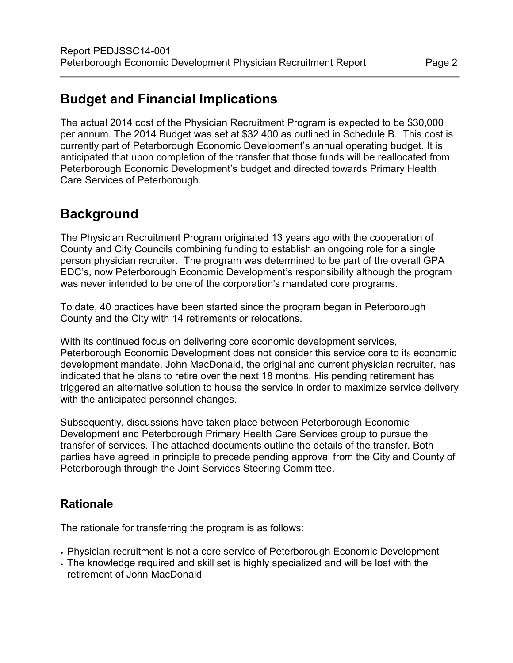# **Budget and Financial Implications**

The actual 2014 cost of the Physician Recruitment Program is expected to be \$30,000 per annum. The 2014 Budget was set at \$32,400 as outlined in Schedule B. This cost is currently part of Peterborough Economic Development's annual operating budget. It is anticipated that upon completion of the transfer that those funds will be reallocated from Peterborough Economic Development's budget and directed towards Primary Health Care Services of Peterborough.

### **Background**

The Physician Recruitment Program originated 13 years ago with the cooperation of County and City Councils combining funding to establish an ongoing role for a single person physician recruiter. The program was determined to be part of the overall GPA EDC's, now Peterborough Economic Development's responsibility although the program was never intended to be one of the corporation's mandated core programs.

To date, 40 practices have been started since the program began in Peterborough County and the City with 14 retirements or relocations.

With its continued focus on delivering core economic development services, Peterborough Economic Development does not consider this service core to its economic development mandate. John MacDonald, the original and current physician recruiter, has indicated that he plans to retire over the next 18 months. His pending retirement has triggered an alternative solution to house the service in order to maximize service delivery with the anticipated personnel changes.

Subsequently, discussions have taken place between Peterborough Economic Development and Peterborough Primary Health Care Services group to pursue the transfer of services. The attached documents outline the details of the transfer. Both parties have agreed in principle to precede pending approval from the City and County of Peterborough through the Joint Services Steering Committee.

#### **Rationale**

The rationale for transferring the program is as follows:

- Physician recruitment is not a core service of Peterborough Economic Development
- The knowledge required and skill set is highly specialized and will be lost with the retirement of John MacDonald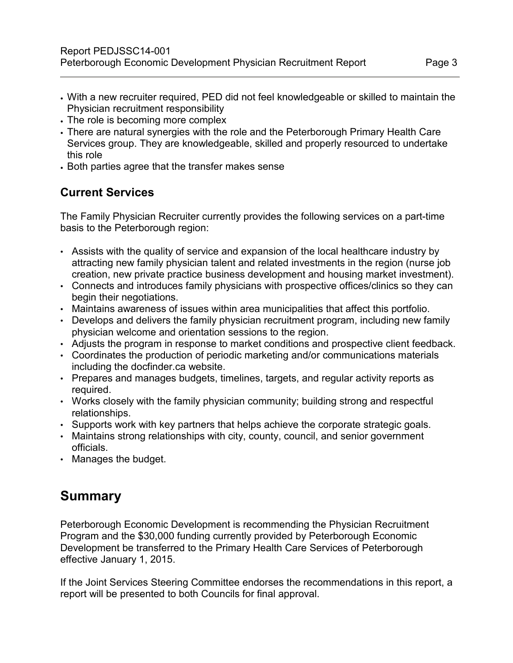- With a new recruiter required, PED did not feel knowledgeable or skilled to maintain the Physician recruitment responsibility
- The role is becoming more complex
- There are natural synergies with the role and the Peterborough Primary Health Care Services group. They are knowledgeable, skilled and properly resourced to undertake this role
- Both parties agree that the transfer makes sense

#### **Current Services**

The Family Physician Recruiter currently provides the following services on a part-time basis to the Peterborough region:

- Assists with the quality of service and expansion of the local healthcare industry by attracting new family physician talent and related investments in the region (nurse job creation, new private practice business development and housing market investment).
- Connects and introduces family physicians with prospective offices/clinics so they can begin their negotiations.
- Maintains awareness of issues within area municipalities that affect this portfolio.
- Develops and delivers the family physician recruitment program, including new family physician welcome and orientation sessions to the region.
- Adjusts the program in response to market conditions and prospective client feedback.
- Coordinates the production of periodic marketing and/or communications materials including the docfinder.ca website.
- Prepares and manages budgets, timelines, targets, and regular activity reports as required.
- Works closely with the family physician community; building strong and respectful relationships.
- Supports work with key partners that helps achieve the corporate strategic goals.
- Maintains strong relationships with city, county, council, and senior government officials.
- Manages the budget.

## **Summary**

Peterborough Economic Development is recommending the Physician Recruitment Program and the \$30,000 funding currently provided by Peterborough Economic Development be transferred to the Primary Health Care Services of Peterborough effective January 1, 2015.

If the Joint Services Steering Committee endorses the recommendations in this report, a report will be presented to both Councils for final approval.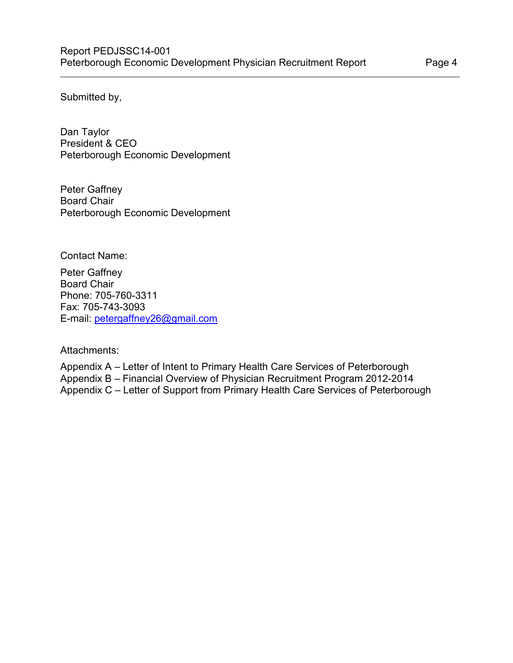Submitted by,

Dan Taylor President & CEO Peterborough Economic Development

Peter Gaffney Board Chair Peterborough Economic Development

Contact Name:

Peter Gaffney Board Chair Phone: 705-760-3311 Fax: 705-743-3093 E-mail: [petergaffney26@gmail.com](mailto:petergaffney26@gmail.com)

Attachments:

Appendix A – Letter of Intent to Primary Health Care Services of Peterborough Appendix B – Financial Overview of Physician Recruitment Program 2012-2014 Appendix C – Letter of Support from Primary Health Care Services of Peterborough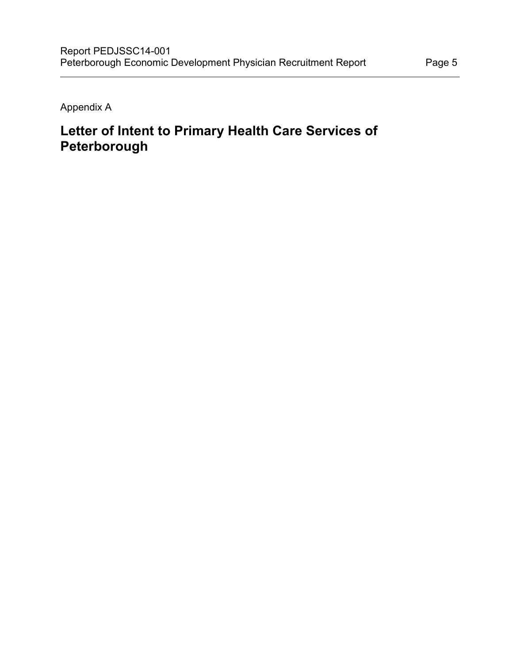Appendix A

# **Letter of Intent to Primary Health Care Services of Peterborough**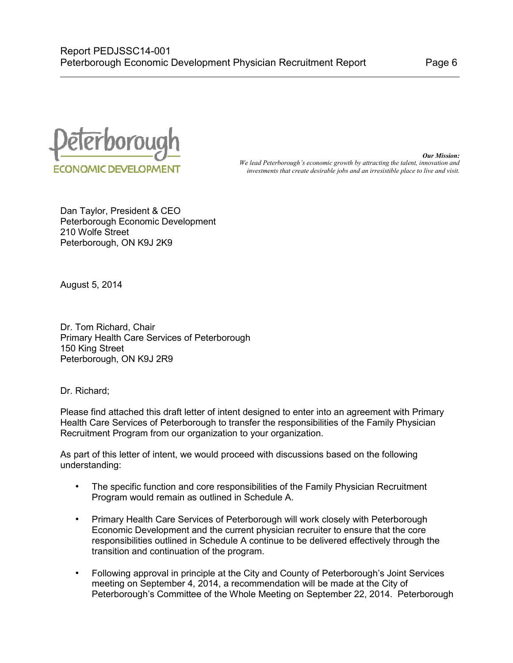

*Our Mission: We lead Peterborough's economic growth by attracting the talent, innovation and investments that create desirable jobs and an irresistible place to live and visit.*

Dan Taylor, President & CEO Peterborough Economic Development 210 Wolfe Street Peterborough, ON K9J 2K9

August 5, 2014

Dr. Tom Richard, Chair Primary Health Care Services of Peterborough 150 King Street Peterborough, ON K9J 2R9

Dr. Richard;

Please find attached this draft letter of intent designed to enter into an agreement with Primary Health Care Services of Peterborough to transfer the responsibilities of the Family Physician Recruitment Program from our organization to your organization.

As part of this letter of intent, we would proceed with discussions based on the following understanding:

- The specific function and core responsibilities of the Family Physician Recruitment Program would remain as outlined in Schedule A.
- Primary Health Care Services of Peterborough will work closely with Peterborough Economic Development and the current physician recruiter to ensure that the core responsibilities outlined in Schedule A continue to be delivered effectively through the transition and continuation of the program.
- Following approval in principle at the City and County of Peterborough's Joint Services meeting on September 4, 2014, a recommendation will be made at the City of Peterborough's Committee of the Whole Meeting on September 22, 2014. Peterborough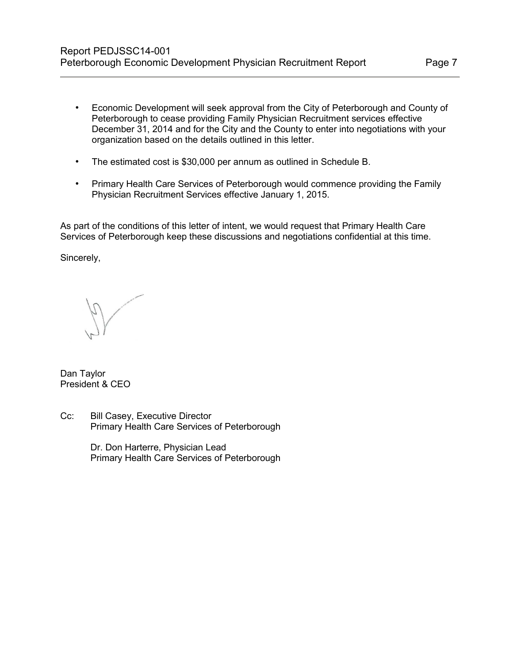- Economic Development will seek approval from the City of Peterborough and County of Peterborough to cease providing Family Physician Recruitment services effective December 31, 2014 and for the City and the County to enter into negotiations with your organization based on the details outlined in this letter.
- The estimated cost is \$30,000 per annum as outlined in Schedule B.
- Primary Health Care Services of Peterborough would commence providing the Family Physician Recruitment Services effective January 1, 2015.

As part of the conditions of this letter of intent, we would request that Primary Health Care Services of Peterborough keep these discussions and negotiations confidential at this time.

Sincerely,

Dan Taylor President & CEO

Cc: Bill Casey, Executive Director Primary Health Care Services of Peterborough

> Dr. Don Harterre, Physician Lead Primary Health Care Services of Peterborough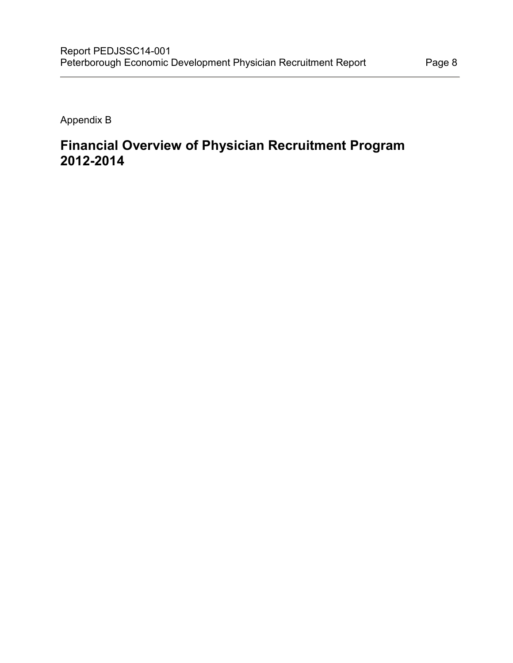Appendix B

## **Financial Overview of Physician Recruitment Program 2012-2014**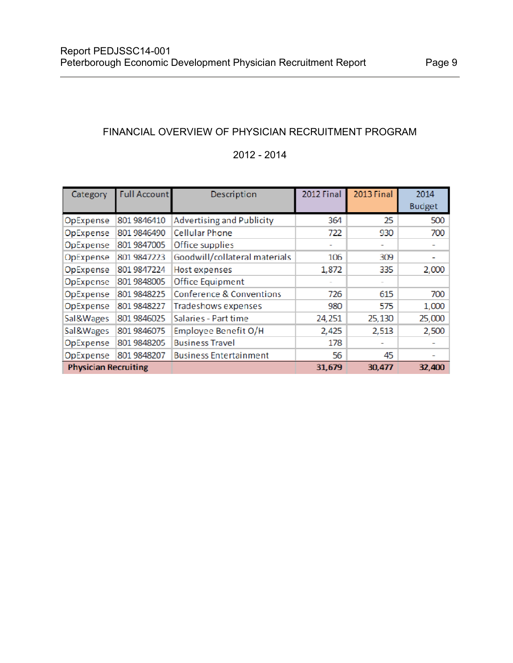#### FINANCIAL OVERVIEW OF PHYSICIAN RECRUITMENT PROGRAM

#### 2012 - 2014

| Category                    | <b>Full Account</b> | Description                      | 2012 Final | 2013 Final | 2014                     |
|-----------------------------|---------------------|----------------------------------|------------|------------|--------------------------|
|                             |                     |                                  |            |            | <b>Budget</b>            |
| OpExpense                   | 801 9846410         | <b>Advertising and Publicity</b> | 364        | 25.        | 500                      |
| OpExpense                   | 801 9846490         | <b>Cellular Phone</b>            | 722        | 930        | 700                      |
| OpExpense                   | 801 9847005         | Office supplies                  | ÷          | ٠          |                          |
| OpExpense                   | 801 9847223         | Goodwill/collateral materials    | 106        | 309        | $\overline{\phantom{a}}$ |
| OpExpense                   | 801 9847224         | Host expenses                    | 1,872      | 335        | 2,000                    |
| OpExpense                   | 801 9848005         | <b>Office Equipment</b>          |            |            |                          |
| OpExpense                   | 801 9848225         | Conference & Conventions         | 726        | 615        | 700                      |
| OpExpense                   | 801 9848227         | Tradeshows expenses              | 980        | 575        | 1,000                    |
| Sal&Wages                   | 801 9846025         | Salaries - Part time             | 24,251     | 25,130     | 25,000                   |
| Sal&Wages                   | 801 9846075         | Employee Benefit O/H             | 2,425      | 2,513      | 2,500                    |
| OpExpense                   | 801 9848205         | <b>Business Travel</b>           | 178        |            |                          |
| OpExpense                   | 801 9848207         | <b>Business Entertainment</b>    | 56         | 45         | ÷                        |
| <b>Physician Recruiting</b> |                     |                                  | 31,679     | 30,477     | 32,400                   |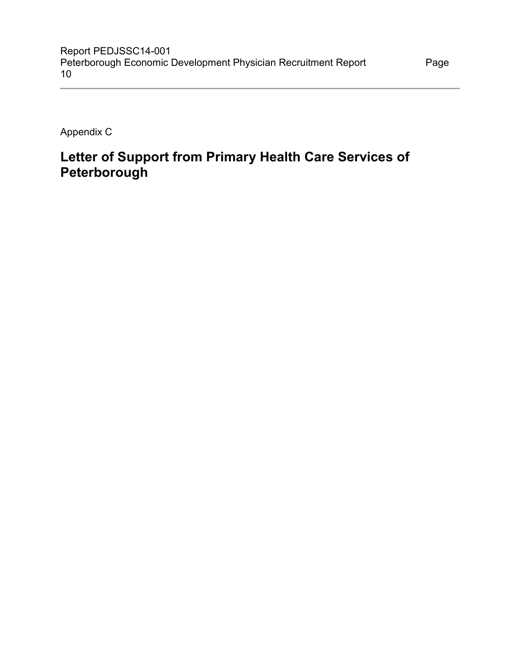Appendix C

# **Letter of Support from Primary Health Care Services of Peterborough**